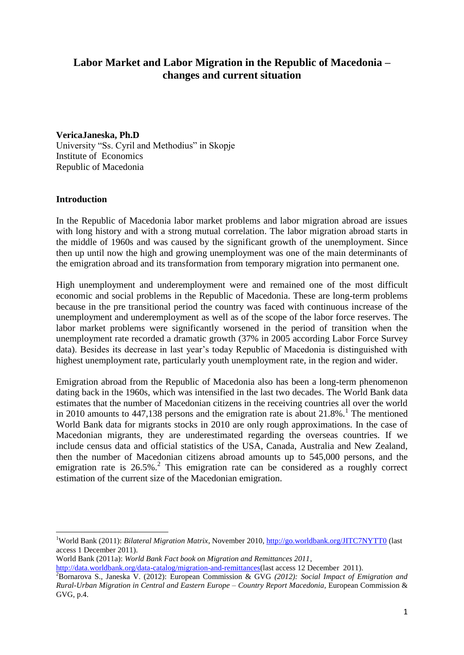# **Labor Market and Labor Migration in the Republic of Macedonia – changes and current situation**

**VericaJaneska, Ph.D**

University "Ss. Cyril and Methodius" in Skopje Institute of Economics Republic of Macedonia

### **Introduction**

**.** 

In the Republic of Macedonia labor market problems and labor migration abroad are issues with long history and with a strong mutual correlation. The labor migration abroad starts in the middle of 1960s and was caused by the significant growth of the unemployment. Since then up until now the high and growing unemployment was one of the main determinants of the emigration abroad and its transformation from temporary migration into permanent one.

High unemployment and underemployment were and remained one of the most difficult economic and social problems in the Republic of Macedonia. These are long-term problems because in the pre transitional period the country was faced with continuous increase of the unemployment and underemployment as well as of the scope of the labor force reserves. The labor market problems were significantly worsened in the period of transition when the unemployment rate recorded a dramatic growth (37% in 2005 according Labor Force Survey data). Besides its decrease in last year's today Republic of Macedonia is distinguished with highest unemployment rate, particularly youth unemployment rate, in the region and wider.

Emigration abroad from the Republic of Macedonia also has been a long-term phenomenon dating back in the 1960s, which was intensified in the last two decades. The World Bank data estimates that the number of Macedonian citizens in the receiving countries all over the world in 2010 amounts to  $447,138$  persons and the emigration rate is about  $21.8\%$ .<sup>1</sup> The mentioned World Bank data for migrants stocks in 2010 are only rough approximations. In the case of Macedonian migrants, they are underestimated regarding the overseas countries. If we include census data and official statistics of the USA, Canada, Australia and New Zealand, then the number of Macedonian citizens abroad amounts up to 545,000 persons, and the emigration rate is 26.5%.<sup>2</sup> This emigration rate can be considered as a roughly correct estimation of the current size of the Macedonian emigration.

World Bank (2011a): *World Bank Fact book on Migration and Remittances 2011*,

<sup>1</sup>World Bank (2011): *Bilateral Migration Matrix*, November 2010,<http://go.worldbank.org/JITC7NYTT0> (last access 1 December 2011).

[http://data.worldbank.org/data-catalog/migration-and-remittances\(](http://data.worldbank.org/data-catalog/migration-and-remittances)last access 12 December 2011).

<sup>2</sup>Bornarova S., Janeska V. (2012): European Commission & GVG *(2012): Social Impact of Emigration and Rural-Urban Migration in Central and Eastern Europe – Country Report Macedonia,* European Commission & GVG, p.4.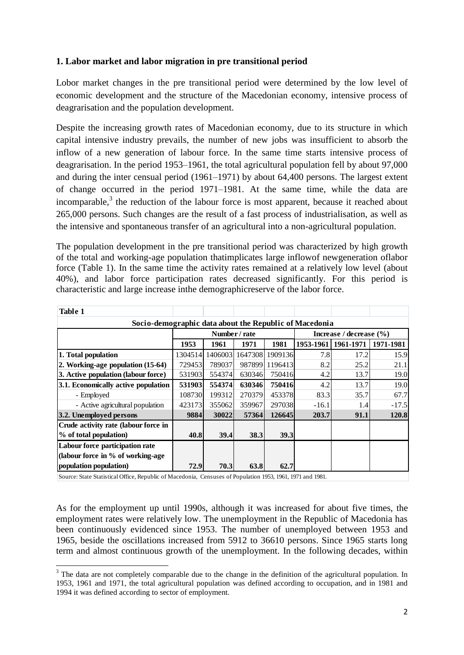# **1. Labor market and labor migration in pre transitional period**

Lobor market changes in the pre transitional period were determined by the low level of economic development and the structure of the Macedonian economy, intensive process of deagrarisation and the population development.

Despite the increasing growth rates of Macedonian economy, due to its structure in which capital intensive industry prevails, the number of new jobs was insufficient to absorb the inflow of a new generation of labour force. In the same time starts intensive process of deagrarisation. In the period 1953–1961, the total agricultural population fell by about 97,000 and during the inter censual period (1961–1971) by about 64,400 persons. The largest extent of change occurred in the period 1971–1981. At the same time, while the data are incomparable, $3$  the reduction of the labour force is most apparent, because it reached about 265,000 persons. Such changes are the result of a fast process of industrialisation, as well as the intensive and spontaneous transfer of an agricultural into a non-agricultural population.

The population development in the pre transitional period was characterized by high growth of the total and working-age population thatimplicates large inflowof newgeneration oflabor force (Table 1). In the same time the activity rates remained at a relatively low level (about 40%), and labor force participation rates decreased significantly. For this period is characteristic and large increase inthe demographicreserve of the labor force.

| <b>Table 1</b>                                         |          |               |        |                             |           |           |         |  |  |  |  |  |  |
|--------------------------------------------------------|----------|---------------|--------|-----------------------------|-----------|-----------|---------|--|--|--|--|--|--|
| Socio-demographic data about the Republic of Macedonia |          |               |        |                             |           |           |         |  |  |  |  |  |  |
|                                                        |          | Number / rate |        | Increase / decrease $(\% )$ |           |           |         |  |  |  |  |  |  |
|                                                        | 1953     | 1961          | 1971   | 1953-1961                   | 1961-1971 | 1971-1981 |         |  |  |  |  |  |  |
| 1. Total population                                    | 13045141 | 1406003       |        | 1647308 1909136             | 7.8       | 17.2      | 15.9    |  |  |  |  |  |  |
| 2. Working-age population (15-64)                      | 729453   | 789037        |        | 987899 1196413              | 8.2       | 25.2      | 21.1    |  |  |  |  |  |  |
| 3. Active population (labour force)                    | 531903   | 554374        | 630346 | 750416                      | 4.2       | 13.7      | 19.0    |  |  |  |  |  |  |
| 3.1. Economically active population                    | 531903   | 554374        | 630346 | <b>750416</b>               | 4.2       | 13.7      | 19.0    |  |  |  |  |  |  |
| - Employed                                             | 108730   | 199312        | 270379 | 453378                      | 83.3      | 35.7      | 67.7    |  |  |  |  |  |  |
| - Active agricultural population                       | 423173   | 355062        | 359967 | 297038                      | $-16.1$   | 1.4       | $-17.5$ |  |  |  |  |  |  |
| 3.2. Unemployed persons                                | 9884     | 30022         | 57364  | 126645                      | 203.7     | 91.1      | 120.8   |  |  |  |  |  |  |
| Crude activity rate (labour force in                   |          |               |        |                             |           |           |         |  |  |  |  |  |  |
| % of total population)                                 | 40.8     | <b>39.4</b>   | 38.3   | 39.3                        |           |           |         |  |  |  |  |  |  |
| Labour force participation rate                        |          |               |        |                             |           |           |         |  |  |  |  |  |  |
| (labour force in % of working-age)                     |          |               |        |                             |           |           |         |  |  |  |  |  |  |
| population population)                                 | 72.9     | 70.3          | 63.8   | 62.7                        |           |           |         |  |  |  |  |  |  |

Source: State Statistical Office, Republic of Macedonia, Censuses of Population 1953, 1961, 1971 and 1981.

1

As for the employment up until 1990s, although it was increased for about five times, the employment rates were relatively low. The unemployment in the Republic of Macedonia has been continuously evidenced since 1953. The number of unemployed between 1953 and 1965, beside the oscillations increased from 5912 to 36610 persons. Since 1965 starts long term and almost continuous growth of the unemployment. In the following decades, within

<sup>&</sup>lt;sup>3</sup> The data are not completely comparable due to the change in the definition of the agricultural population. In 1953, 1961 and 1971, the total agricultural population was defined according to occupation, and in 1981 and 1994 it was defined according to sector of employment.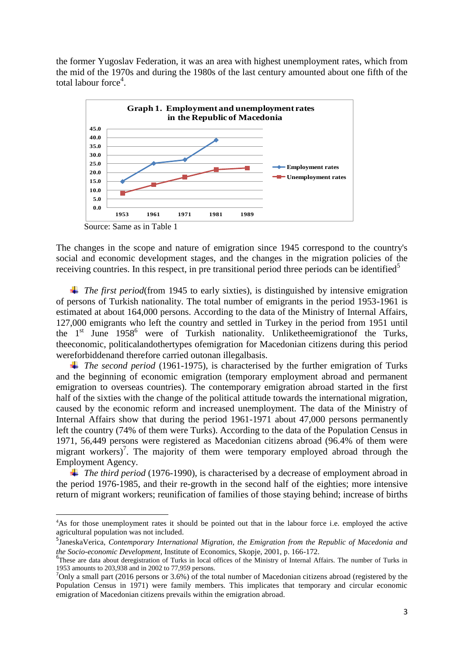the former Yugoslav Federation, it was an area with highest unemployment rates, which from the mid of the 1970s and during the 1980s of the last century amounted about one fifth of the total labour force<sup>4</sup>.



The changes in the scope and nature of emigration since 1945 correspond to the country's social and economic development stages, and the changes in the migration policies of the receiving countries. In this respect, in pre transitional period three periods can be identified<sup>5</sup>

*The first period*(from 1945 to early sixties), is distinguished by intensive emigration of persons of Turkish nationality. The total number of emigrants in the period 1953-1961 is estimated at about 164,000 persons. According to the data of the Ministry of Internal Affairs, 127,000 emigrants who left the country and settled in Turkey in the period from 1951 until the 1<sup>st</sup> June 1958<sup>6</sup> were of Turkish nationality. Unliketheemigrationof the Turks, theeconomic, politicalandothertypes ofemigration for Macedonian citizens during this period wereforbiddenand therefore carried outonan illegalbasis.

*The second period* (1961-1975), is characterised by the further emigration of Turks and the beginning of economic emigration (temporary employment abroad and permanent emigration to overseas countries). The contemporary emigration abroad started in the first half of the sixties with the change of the political attitude towards the international migration, caused by the economic reform and increased unemployment. The data of the Ministry of Internal Affairs show that during the period 1961-1971 about 47,000 persons permanently left the country (74% of them were Turks). According to the data of the Population Census in 1971, 56,449 persons were registered as Macedonian citizens abroad (96.4% of them were migrant workers)<sup>7</sup>. The majority of them were temporary employed abroad through the Employment Agency.

*The third period* (1976-1990), is characterised by a decrease of employment abroad in the period 1976-1985, and their re-growth in the second half of the eighties; more intensive return of migrant workers; reunification of families of those staying behind; increase of births

**.** 

<sup>&</sup>lt;sup>4</sup>As for those unemployment rates it should be pointed out that in the labour force i.e. employed the active agricultural population was not included.

<sup>5</sup> JaneskaVerica, *Contemporary International Migration, the Emigration from the Republic of Macedonia and the Socio-economic Development*, Institute of Economics, Skopje, 2001, p. 166-172.

<sup>&</sup>lt;sup>6</sup>These are data about deregistration of Turks in local offices of the Ministry of Internal Affairs. The number of Turks in 1953 amounts to 203,938 and in 2002 to 77,959 persons.

<sup>&</sup>lt;sup>7</sup>Only a small part (2016 persons or 3.6%) of the total number of Macedonian citizens abroad (registered by the Population Census in 1971) were family members. This implicates that temporary and circular economic emigration of Macedonian citizens prevails within the emigration abroad.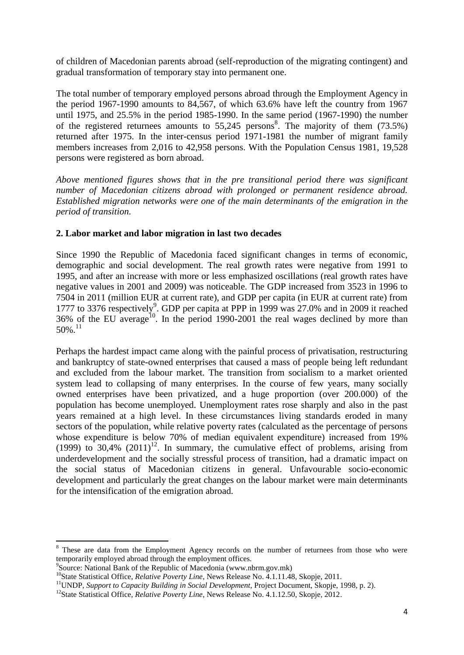of children of Macedonian parents abroad (self-reproduction of the migrating contingent) and gradual transformation of temporary stay into permanent one.

The total number of temporary employed persons abroad through the Employment Agency in the period 1967-1990 amounts to 84,567, of which 63.6% have left the country from 1967 until 1975, and 25.5% in the period 1985-1990. In the same period (1967-1990) the number of the registered returnees amounts to  $55,245$  persons<sup>8</sup>. The majority of them (73.5%) returned after 1975. In the inter-census period 1971-1981 the number of migrant family members increases from 2,016 to 42,958 persons. With the Population Census 1981, 19,528 persons were registered as born abroad.

*Above mentioned figures shows that in the pre transitional period there was significant number of Macedonian citizens abroad with prolonged or permanent residence abroad. Established migration networks were one of the main determinants of the emigration in the period of transition.*

### **2. Labor market and labor migration in last two decades**

Since 1990 the Republic of Macedonia faced significant changes in terms of economic, demographic and social development. The real growth rates were negative from 1991 to 1995, and after an increase with more or less emphasized oscillations (real growth rates have negative values in 2001 and 2009) was noticeable. The GDP increased from 3523 in 1996 to 7504 in 2011 (million EUR at current rate), and GDP per capita (in EUR at current rate) from 1777 to 3376 respectively<sup>9</sup>. GDP per capita at PPP in 1999 was 27.0% and in 2009 it reached  $36\%$  of the EU average<sup>10</sup>. In the period 1990-2001 the real wages declined by more than 50%. 11

Perhaps the hardest impact came along with the painful process of privatisation, restructuring and bankruptcy of state-owned enterprises that caused a mass of people being left redundant and excluded from the labour market. The transition from socialism to a market oriented system lead to collapsing of many enterprises. In the course of few years, many socially owned enterprises have been privatized, and a huge proportion (over 200.000) of the population has become unemployed. Unemployment rates rose sharply and also in the past years remained at a high level. In these circumstances living standards eroded in many sectors of the population, while relative poverty rates (calculated as the percentage of persons whose expenditure is below 70% of median equivalent expenditure) increased from 19% (1999) to 30,4%  $(2011)^{12}$ . In summary, the cumulative effect of problems, arising from underdevelopment and the socially stressful process of transition, had a dramatic impact on the social status of Macedonian citizens in general. Unfavourable socio-economic development and particularly the great changes on the labour market were main determinants for the intensification of the emigration abroad.

1

<sup>&</sup>lt;sup>8</sup> These are data from the Employment Agency records on the number of returnees from those who were temporarily employed abroad through the employment offices.

<sup>9</sup> Source: National Bank of the Republic of Macedonia (www.nbrm.gov.mk)

<sup>&</sup>lt;sup>10</sup>State Statistical Office, *Relative Poverty Line*, News Release No. 4.1.11.48, Skopje, 2011.

<sup>&</sup>lt;sup>11</sup>UNDP, *Support to Capacity Building in Social Development*, Project Document, Skopje, 1998, p. 2).

<sup>&</sup>lt;sup>12</sup>State Statistical Office, *Relative Poverty Line*, News Release No. 4.1.12.50, Skopje, 2012.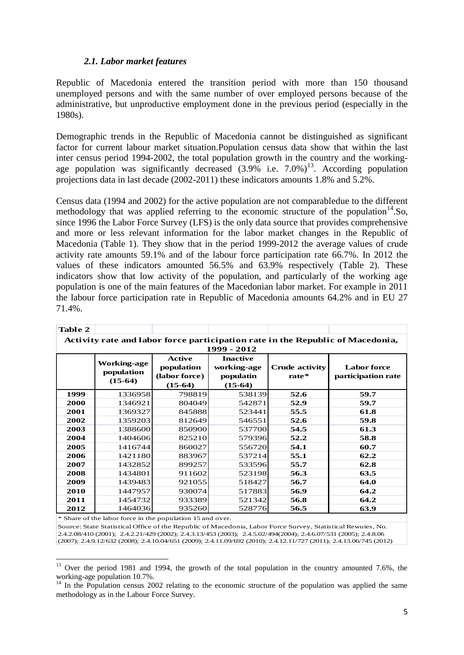### *2.1. Labor market features*

Republic of Macedonia entered the transition period with more than 150 thousand unemployed persons and with the same number of over employed persons because of the administrative, but unproductive employment done in the previous period (especially in the 1980s).

Demographic trends in the Republic of Macedonia cannot be distinguished as significant factor for current labour market situation.Population census data show that within the last inter census period 1994-2002, the total population growth in the country and the workingage population was significantly decreased  $(3.9\%$  i.e.  $7.0\%$ <sup>13</sup>. According population projections data in last decade (2002-2011) these indicators amounts 1.8% and 5.2%.

Census data (1994 and 2002) for the active population are not comparabledue to the different methodology that was applied referring to the economic structure of the population<sup>14</sup>.So, since 1996 the Labor Force Survey (LFS) is the only data source that provides comprehensive and more or less relevant information for the labor market changes in the Republic of Macedonia (Table 1). They show that in the period 1999-2012 the average values of crude activity rate amounts 59.1% and of the labour force participation rate 66.7%. In 2012 the values of these indicators amounted 56.5% and 63.9% respectively (Table 2). These indicators show that low activity of the population, and particularly of the working age population is one of the main features of the Macedonian labor market. For example in 2011 the labour force participation rate in Republic of Macedonia amounts 64.2% and in EU 27 71.4%.

| Table 2                                                                                       |                                               |                                                           |                                                          |                                  |                                          |  |  |  |  |  |  |  |
|-----------------------------------------------------------------------------------------------|-----------------------------------------------|-----------------------------------------------------------|----------------------------------------------------------|----------------------------------|------------------------------------------|--|--|--|--|--|--|--|
| Activity rate and labor force participation rate in the Republic of Macedonia,<br>1999 - 2012 |                                               |                                                           |                                                          |                                  |                                          |  |  |  |  |  |  |  |
|                                                                                               | <b>Working-age</b><br>population<br>$(15-64)$ | <b>Active</b><br>population<br>(labor force)<br>$(15-64)$ | <b>Inactive</b><br>working-age<br>populatin<br>$(15-64)$ | <b>Crude activity</b><br>$rate*$ | <b>Labor</b> force<br>participation rate |  |  |  |  |  |  |  |
| 1999                                                                                          | 1336958                                       | 798819                                                    | 538139                                                   | 52.6                             | 59.7                                     |  |  |  |  |  |  |  |
| 2000                                                                                          | 1346921                                       | 804049                                                    | 542871                                                   | 52.9                             | 59.7                                     |  |  |  |  |  |  |  |
| 2001                                                                                          | 1369327                                       | 845888                                                    | 523441                                                   | 55.5                             | 61.8                                     |  |  |  |  |  |  |  |
| 2002                                                                                          | 1359203                                       | 812649                                                    | 546551                                                   | 52.6                             | 59.8                                     |  |  |  |  |  |  |  |
| 2003                                                                                          | 1388600                                       | 850900                                                    | 537700                                                   | 54.5                             | 61.3                                     |  |  |  |  |  |  |  |
| 2004                                                                                          | 1404606                                       | 825210                                                    | 579396                                                   | 52.2                             | 58.8                                     |  |  |  |  |  |  |  |
| 2005                                                                                          | 1416744                                       | 860027                                                    | 556720                                                   | 54.1                             | 60.7                                     |  |  |  |  |  |  |  |
| 2006                                                                                          | 1421180                                       | 883967                                                    | 537214                                                   | 55.1                             | 62.2                                     |  |  |  |  |  |  |  |
| 2007                                                                                          | 1432852                                       | 899257                                                    | 533596                                                   | 55.7                             | 62.8                                     |  |  |  |  |  |  |  |
| 2008                                                                                          | 1434801                                       | 911602                                                    | 523198                                                   | 56.3                             | 63.5                                     |  |  |  |  |  |  |  |
| 2009                                                                                          | 1439483                                       | 921055                                                    | 518427                                                   | 56.7                             | 64.0                                     |  |  |  |  |  |  |  |
| 2010                                                                                          | 1447957                                       | 930074                                                    | 517883                                                   | 56.9                             | 64.2                                     |  |  |  |  |  |  |  |
| 2011                                                                                          | 1454732                                       | 933389                                                    | 521342                                                   | 56.8                             | 64.2                                     |  |  |  |  |  |  |  |
| 2012                                                                                          | 1464036                                       | 935260                                                    | 528776                                                   | 56.5                             | 63.9                                     |  |  |  |  |  |  |  |

\* Share of the labor force in the population 15 and over.

**.** 

Source: State Statistical Office of the Republic of Macedonia, Labor Force Survey, Statistical Rewuies, No. 2.4.2.08/410 (2001); 2.4.2.21/429 (2002); 2.4.3.13/453 (2003); 2.4.5.02/494(2004); 2.4.6.07/531 (2005); 2.4.8.06 (2007); 2.4.9.12/632 (2008); 2.4.10.04/651 (2009); 2.4.11.09/692 (2010); 2.4.12.11/727 (2011); 2.4.13.06/745 (2012)

 $13$  Over the period 1981 and 1994, the growth of the total population in the country amounted 7.6%, the working-age population 10.7%.

 $14$  In the Population census 2002 relating to the economic structure of the population was applied the same methodology as in the Labour Force Survey.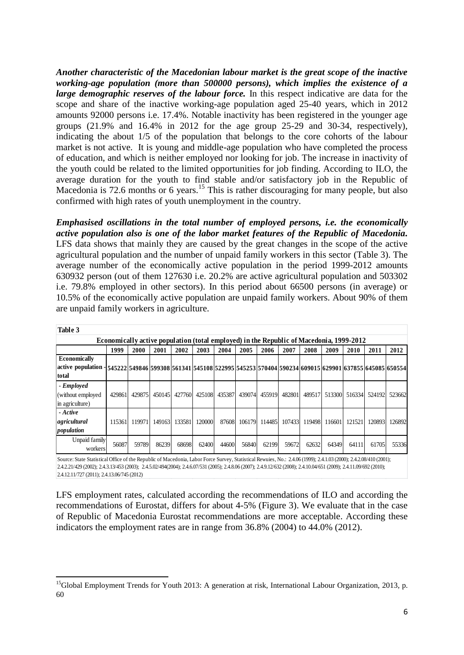*Another characteristic of the Macedonian labour market is the great scope of the inactive working-age population (more than 500000 persons), which implies the existence of a large demographic reserves of the labour force*. In this respect indicative are data for the scope and share of the inactive working-age population aged 25-40 years, which in 2012 amounts 92000 persons i.e. 17.4%. Notable inactivity has been registered in the younger age groups (21.9% and 16.4% in 2012 for the age group 25-29 and 30-34, respectively), indicating the about 1/5 of the population that belongs to the core cohorts of the labour market is not active. It is young and middle-age population who have completed the process of education, and which is neither employed nor looking for job. The increase in inactivity of the youth could be related to the limited opportunities for job finding. According to ILO, the average duration for the youth to find stable and/or satisfactory job in the Republic of Macedonia is 72.6 months or 6 years.<sup>15</sup> This is rather discouraging for many people, but also confirmed with high rates of youth unemployment in the country.

*Emphasised oscillations in the total number of employed persons, i.e. the economically active population also is one of the labor market features of the Republic of Macedonia.* LFS data shows that mainly they are caused by the great changes in the scope of the active agricultural population and the number of unpaid family workers in this sector (Table 3). The average number of the economically active population in the period 1999-2012 amounts 630932 person (out of them 127630 i.e. 20.2% are active agricultural population and 503302 i.e. 79.8% employed in other sectors). In this period about 66500 persons (in average) or 10.5% of the economically active population are unpaid family workers. About 90% of them are unpaid family workers in agriculture.

| Table 3                                                                                                                                                 |        |        |        |        |        |        |        |        |        |        |        |        |        |        |
|---------------------------------------------------------------------------------------------------------------------------------------------------------|--------|--------|--------|--------|--------|--------|--------|--------|--------|--------|--------|--------|--------|--------|
| <b>Economically active population (total employed) in the Republic of Macedonia, 1999-2012</b>                                                          |        |        |        |        |        |        |        |        |        |        |        |        |        |        |
|                                                                                                                                                         | 1999   | 2000   | 2001   | 2002   | 2003   | 2004   | 2005   | 2006   | 2007   | 2008   | 2009   | 2010   | 2011   | 2012   |
| <b>Economically</b><br> active population - 545222 549846 599308 561341 545108 522995 545253 570404 590234 609015 629901 637855 645085 650554 <br>total |        |        |        |        |        |        |        |        |        |        |        |        |        |        |
| - Employed<br>(without employed<br>in agriculture)                                                                                                      | 429861 | 429875 | 450145 | 427760 | 425108 | 435387 | 439074 | 455919 | 482801 | 489517 | 513300 | 516334 | 524192 | 523662 |
| - Active<br>agricultural<br>population                                                                                                                  | 115361 | 119971 | 149163 | 133581 | 120000 | 87608  | 106179 | 114485 | 107433 | 119498 | 116601 | 121521 | 120893 | 126892 |
| Unpaid family<br>workers                                                                                                                                | 56087  | 59789  | 86239  | 68698  | 62400  | 44600  | 56840  | 62199  | 59672  | 62632  | 64349  | 64111  | 61705  | 55336  |

Source: State Statistical Office of the Republic of Macedonia, Labor Force Survey, Statistical Rewuies, No.: 2.4.06 (1999); 2.4.1.03 (2000); 2.4.2.08/410 (2001); 2.4.2.21/429 (2002); 2.4.3.13/453 (2003); 2.4.5.02/494(2004); 2.4.6.07/531 (2005); 2.4.8.06 (2007); 2.4.9.12/632 (2008); 2.4.10.04/651 (2009); 2.4.11.09/692 (2010); 2.4.12.11/727 (2011); 2.4.13.06/745 (2012)

LFS employment rates, calculated according the recommendations of ILO and according the recommendations of Eurostat, differs for about 4-5% (Figure 3). We evaluate that in the case of Republic of Macedonia Eurostat recommendations are more acceptable. According these indicators the employment rates are in range from 36.8% (2004) to 44.0% (2012).

**<sup>.</sup>** <sup>15</sup>Global Employment Trends for Youth 2013: A generation at risk, International Labour Organization, 2013, p. 60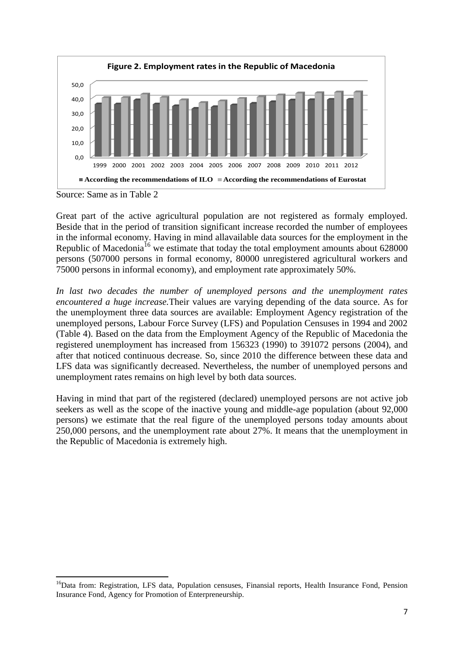

Source: Same as in Table 2

Great part of the active agricultural population are not registered as formaly employed. Beside that in the period of transition significant increase recorded the number of employees in the informal economy. Having in mind allavailable data sources for the employment in the Republic of Macedonia<sup>16</sup> we estimate that today the total employment amounts about  $628000$ persons (507000 persons in formal economy, 80000 unregistered agricultural workers and 75000 persons in informal economy), and employment rate approximately 50%.

*In last two decades the number of unemployed persons and the unemployment rates encountered a huge increase.*Their values are varying depending of the data source. As for the unemployment three data sources are available: Employment Agency registration of the unemployed persons, Labour Force Survey (LFS) and Population Censuses in 1994 and 2002 (Table 4). Based on the data from the Employment Agency of the Republic of Macedonia the registered unemployment has increased from 156323 (1990) to 391072 persons (2004), and after that noticed continuous decrease. So, since 2010 the difference between these data and LFS data was significantly decreased. Nevertheless, the number of unemployed persons and unemployment rates remains on high level by both data sources.

Having in mind that part of the registered (declared) unemployed persons are not active job seekers as well as the scope of the inactive young and middle-age population (about 92,000 persons) we estimate that the real figure of the unemployed persons today amounts about 250,000 persons, and the unemployment rate about 27%. It means that the unemployment in the Republic of Macedonia is extremely high.

**<sup>.</sup>** <sup>16</sup>Data from: Registration, LFS data, Population censuses, Finansial reports, Health Insurance Fond, Pension Insurance Fond, Agency for Promotion of Enterpreneurship.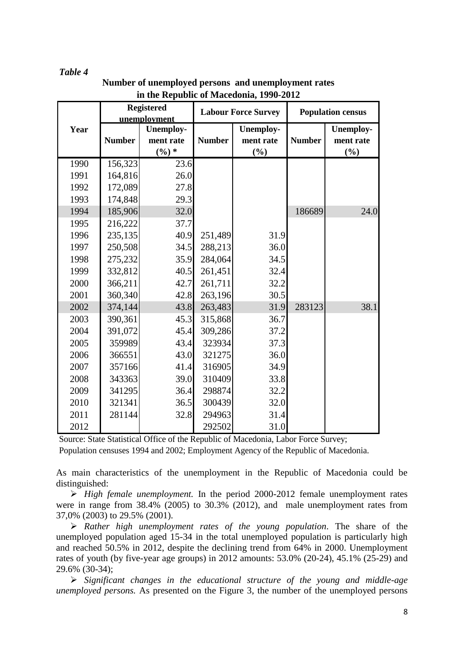#### *Table 4*

|      |               | <b>Registered</b><br>unemployment         | <b>Population census</b> |                                      |               |                                                  |  |
|------|---------------|-------------------------------------------|--------------------------|--------------------------------------|---------------|--------------------------------------------------|--|
| Year | <b>Number</b> | <b>Unemploy-</b><br>ment rate<br>$(\%) *$ | <b>Number</b>            | <b>Unemploy-</b><br>ment rate<br>(%) | <b>Number</b> | <b>Unemploy-</b><br>ment rate<br>$(\frac{0}{0})$ |  |
| 1990 | 156,323       | 23.6                                      |                          |                                      |               |                                                  |  |
| 1991 | 164,816       | 26.0                                      |                          |                                      |               |                                                  |  |
| 1992 | 172,089       | 27.8                                      |                          |                                      |               |                                                  |  |
| 1993 | 174,848       | 29.3                                      |                          |                                      |               |                                                  |  |
| 1994 | 185,906       | 32.0                                      |                          |                                      | 186689        | 24.0                                             |  |
| 1995 | 216,222       | 37.7                                      |                          |                                      |               |                                                  |  |
| 1996 | 235,135       | 40.9                                      | 251,489                  | 31.9                                 |               |                                                  |  |
| 1997 | 250,508       | 34.5                                      | 288,213                  | 36.0                                 |               |                                                  |  |
| 1998 | 275,232       | 35.9                                      | 284,064                  | 34.5                                 |               |                                                  |  |
| 1999 | 332,812       | 40.5                                      | 261,451                  | 32.4                                 |               |                                                  |  |
| 2000 | 366,211       | 42.7                                      | 261,711                  | 32.2                                 |               |                                                  |  |
| 2001 | 360,340       | 42.8                                      | 263,196                  | 30.5                                 |               |                                                  |  |
| 2002 | 374,144       | 43.8                                      | 263,483                  | 31.9                                 | 283123        | 38.1                                             |  |
| 2003 | 390,361       | 45.3                                      | 315,868                  | 36.7                                 |               |                                                  |  |
| 2004 | 391,072       | 45.4                                      | 309,286                  | 37.2                                 |               |                                                  |  |
| 2005 | 359989        | 43.4                                      | 323934                   | 37.3                                 |               |                                                  |  |
| 2006 | 366551        | 43.0                                      | 321275                   | 36.0                                 |               |                                                  |  |
| 2007 | 357166        | 41.4                                      | 316905                   | 34.9                                 |               |                                                  |  |
| 2008 | 343363        | 39.0                                      | 310409                   | 33.8                                 |               |                                                  |  |
| 2009 | 341295        | 36.4                                      | 298874                   | 32.2                                 |               |                                                  |  |
| 2010 | 321341        | 36.5                                      | 300439                   | 32.0                                 |               |                                                  |  |
| 2011 | 281144        | 32.8                                      | 294963                   | 31.4                                 |               |                                                  |  |
| 2012 |               |                                           | 292502                   | 31.0                                 |               |                                                  |  |

**Number of unemployed persons and unemployment rates in the Republic of Macedonia, 1990-2012** 

Source: State Statistical Office of the Republic of Macedonia, Labor Force Survey;

Population censuses 1994 and 2002; Employment Agency of the Republic of Macedonia.

As main characteristics of the unemployment in the Republic of Macedonia could be distinguished:

 *High female unemployment.* In the period 2000-2012 female unemployment rates were in range from 38.4% (2005) to 30.3% (2012), and male unemployment rates from 37,0% (2003) to 29.5% (2001).

 *Rather high unemployment rates of the young population*. The share of the unemployed population aged 15-34 in the total unemployed population is particularly high and reached 50.5% in 2012, despite the declining trend from 64% in 2000. Unemployment rates of youth (by five-year age groups) in 2012 amounts: 53.0% (20-24), 45.1% (25-29) and 29.6% (30-34);

 *Significant changes in the educational structure of the young and middle-age unemployed persons.* As presented on the Figure 3, the number of the unemployed persons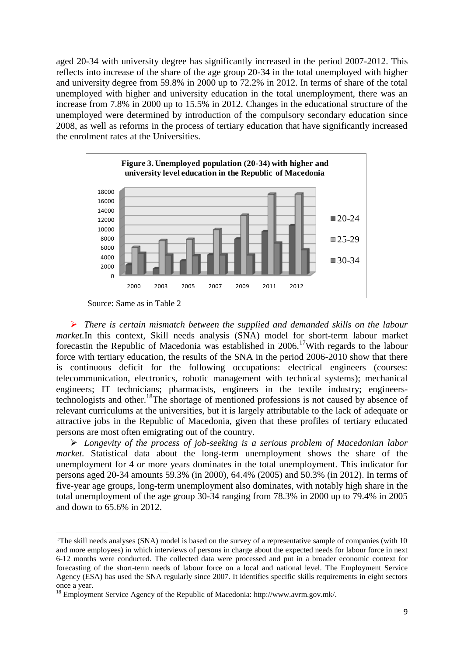aged 20-34 with university degree has significantly increased in the period 2007-2012. This reflects into increase of the share of the age group 20-34 in the total unemployed with higher and university degree from 59.8% in 2000 up to 72.2% in 2012. In terms of share of the total unemployed with higher and university education in the total unemployment, there was an increase from 7.8% in 2000 up to 15.5% in 2012. Changes in the educational structure of the unemployed were determined by introduction of the compulsory secondary education since 2008, as well as reforms in the process of tertiary education that have significantly increased the enrolment rates at the Universities.



Source: Same as in Table 2

**.** 

 *There is certain mismatch between the supplied and demanded skills on the labour market.*In this context, Skill needs analysis (SNA) model for short-term labour market forecastin the Republic of Macedonia was established in 2006.<sup>17</sup>With regards to the labour force with tertiary education, the results of the SNA in the period 2006-2010 show that there is continuous deficit for the following occupations: electrical engineers (courses: telecommunication, electronics, robotic management with technical systems); mechanical engineers; IT technicians; pharmacists, engineers in the textile industry; engineerstechnologists and other.<sup>18</sup>The shortage of mentioned professions is not caused by absence of relevant curriculums at the universities, but it is largely attributable to the lack of adequate or attractive jobs in the Republic of Macedonia, given that these profiles of tertiary educated persons are most often emigrating out of the country.

 *Longevity of the process of job-seeking is a serious problem of Macedonian labor market.* Statistical data about the long-term unemployment shows the share of the unemployment for 4 or more years dominates in the total unemployment. This indicator for persons aged 20-34 amounts 59.3% (in 2000), 64.4% (2005) and 50.3% (in 2012). In terms of five-year age groups, long-term unemployment also dominates, with notably high share in the total unemployment of the age group 30-34 ranging from 78.3% in 2000 up to 79.4% in 2005 and down to 65.6% in 2012.

<sup>&</sup>lt;sup>17</sup>The skill needs analyses (SNA) model is based on the survey of a representative sample of companies (with 10 and more employees) in which interviews of persons in charge about the expected needs for labour force in next 6-12 months were conducted. The collected data were processed and put in a broader economic context for forecasting of the short-term needs of labour force on a local and national level. The Employment Service Agency (ESA) has used the SNA regularly since 2007. It identifies specific skills requirements in eight sectors once a year.

<sup>18</sup> Employment Service Agency of the Republic of Macedonia: http://www.avrm.gov.mk/.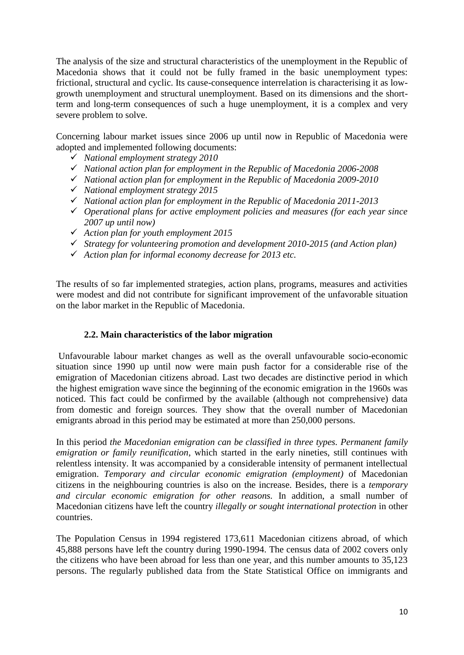The analysis of the size and structural characteristics of the unemployment in the Republic of Macedonia shows that it could not be fully framed in the basic unemployment types: frictional, structural and cyclic. Its cause-consequence interrelation is characterising it as lowgrowth unemployment and structural unemployment. Based on its dimensions and the shortterm and long-term consequences of such a huge unemployment, it is a complex and very severe problem to solve.

Concerning labour market issues since 2006 up until now in Republic of Macedonia were adopted and implemented following documents:

- *National employment strategy 2010*
- *National action plan for employment in the Republic of Macedonia 2006-2008*
- *National action plan for employment in the Republic of Macedonia 2009-2010*
- *National employment strategy 2015*
- *National action plan for employment in the Republic of Macedonia 2011-2013*
- *Operational plans for active employment policies and measures (for each year since 2007 up until now)*
- *Action plan for youth employment 2015*
- *Strategy for volunteering promotion and development 2010-2015 (and Action plan)*
- *Action plan for informal economy decrease for 2013 etc.*

The results of so far implemented strategies, action plans, programs, measures and activities were modest and did not contribute for significant improvement of the unfavorable situation on the labor market in the Republic of Macedonia.

#### **2.2. Main characteristics of the labor migration**

Unfavourable labour market changes as well as the overall unfavourable socio-economic situation since 1990 up until now were main push factor for a considerable rise of the emigration of Macedonian citizens abroad. Last two decades are distinctive period in which the highest emigration wave since the beginning of the economic emigration in the 1960s was noticed. This fact could be confirmed by the available (although not comprehensive) data from domestic and foreign sources. They show that the overall number of Macedonian emigrants abroad in this period may be estimated at more than 250,000 persons.

In this period *the Macedonian emigration can be classified in three types. Permanent family emigration or family reunification*, which started in the early nineties, still continues with relentless intensity. It was accompanied by a considerable intensity of permanent intellectual emigration. *Temporary and circular economic emigration (employment)* of Macedonian citizens in the neighbouring countries is also on the increase. Besides, there is a *temporary and circular economic emigration for other reasons.* In addition, a small number of Macedonian citizens have left the country *illegally or sought international protection* in other countries.

The Population Census in 1994 registered 173,611 Macedonian citizens abroad, of which 45,888 persons have left the country during 1990-1994. The census data of 2002 covers only the citizens who have been abroad for less than one year, and this number amounts to 35,123 persons. The regularly published data from the State Statistical Office on immigrants and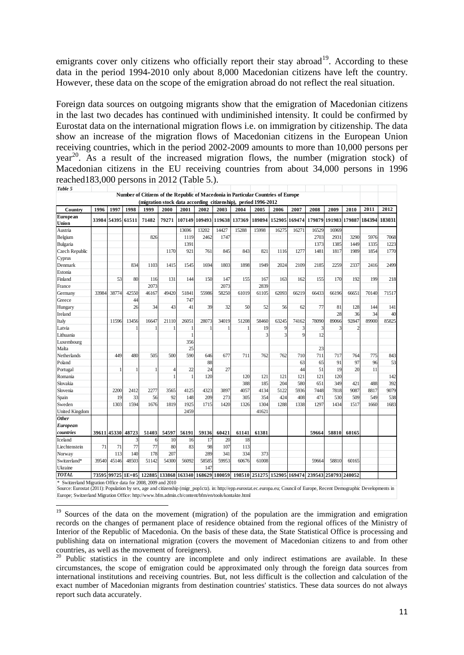emigrants cover only citizens who officially report their stay abroad<sup>19</sup>. According to these data in the period 1994-2010 only about 8,000 Macedonian citizens have left the country. However, these data on the scope of the emigration abroad do not reflect the real situation.

Foreign data sources on outgoing migrants show that the emigration of Macedonian citizens in the last two decades has continued with undiminished intensity. It could be confirmed by Eurostat data on the international migration flows i.e. on immigration by citizenship. The data show an increase of the migration flows of Macedonian citizens in the European Union receiving countries, which in the period 2002-2009 amounts to more than 10,000 persons per  $year<sup>20</sup>$ . As a result of the increased migration flows, the number (migration stock) of Macedonian citizens in the EU receiving countries from about 34,000 persons in 1996 reached183,000 persons in 2012 (Table 5.).

| Table 5                                                             |       |             |                   |                                                      |       |        |                      |       |                                                                                   |                                    |        |        |        |        |        |               |        |
|---------------------------------------------------------------------|-------|-------------|-------------------|------------------------------------------------------|-------|--------|----------------------|-------|-----------------------------------------------------------------------------------|------------------------------------|--------|--------|--------|--------|--------|---------------|--------|
|                                                                     |       |             |                   |                                                      |       |        |                      |       | Number of Citizens of the Republic of Macedonia in Particular Countries of Europe |                                    |        |        |        |        |        |               |        |
|                                                                     |       |             |                   |                                                      |       |        |                      |       | (migration stock data according citizenship), period 1996-2012                    |                                    |        |        |        |        |        |               |        |
| Country                                                             | 1996  | 1997        | 1998              | 1999                                                 | 2000  | 2001   | 2002                 | 2003  | 2004                                                                              | 2005                               | 2006   | 2007   | 2008   | 2009   | 2010   | 2011          | 2012   |
| <b>European</b><br>Union                                            |       | 33984 54395 | 61511             | 71482                                                | 79271 | 107149 | 109493 119638 137369 |       |                                                                                   | 189894                             | 152905 | 169474 | 179879 | 191983 |        | 179887 184394 | 183031 |
| Austria                                                             |       |             |                   |                                                      |       | 13696  | 13202                | 14427 | 15288                                                                             | 15998                              | 16275  | 16271  | 16529  | 16969  |        |               |        |
| Belgium                                                             |       |             |                   | 826                                                  |       | 1119   | 2462                 | 1747  |                                                                                   |                                    |        |        | 2703   | 2931   | 3290   | 5976          | 7068   |
| Bulgaria                                                            |       |             |                   |                                                      |       | 1391   |                      |       |                                                                                   |                                    |        |        | 1373   | 1385   | 1449   | 1335          | 1223   |
| Czech Republic                                                      |       |             |                   |                                                      | 1170  | 921    | 761                  | 845   | 843                                                                               | 821                                | 1116   | 1277   | 1481   | 1817   | 1989   | 1854          | 1770   |
| Cyprus                                                              |       |             |                   |                                                      |       |        |                      |       |                                                                                   |                                    |        |        |        |        |        |               |        |
| Denmark                                                             |       |             | 834               | 1103                                                 | 1415  | 1545   | 1694                 | 1803  | 1898                                                                              | 1949                               | 2024   | 2109   | 2185   | 2259   | 2337   | 2416          | 2499   |
| Estonia                                                             |       |             |                   |                                                      |       |        |                      |       |                                                                                   |                                    |        |        |        |        |        |               |        |
| Finland                                                             |       | 53          | 80                | 116                                                  | 131   | 144    | 150                  | 147   | 155                                                                               | 167                                | 163    | 162    | 155    | 170    | 192    | 199           | 218    |
| France                                                              |       |             |                   | 2073                                                 |       |        |                      | 2073  |                                                                                   | 2839                               |        |        |        |        |        |               |        |
| Germany                                                             | 33984 | 38774       | 42550             | 46167                                                | 49420 | 51841  | 55986                | 58250 | 61019                                                                             | 61105                              | 62093  | 66219  | 66433  | 66196  | 66651  | 70140         | 71517  |
| Greece                                                              |       |             | 44                |                                                      |       | 747    |                      |       |                                                                                   |                                    |        |        |        |        |        |               |        |
| Hungary                                                             |       |             | 26                | 34                                                   | 43    | 41     | 39                   | 32    | 50                                                                                | 52                                 | 56     | 62     | 77     | 81     | 128    | 144           | 141    |
| Ireland                                                             |       |             |                   |                                                      |       |        |                      |       |                                                                                   |                                    |        |        |        | 28     | 36     | 34            | 40     |
| Italy                                                               |       | 11596       | 13456             | 16647                                                | 21110 | 26051  | 28073                | 34019 | 51208                                                                             | 58460                              | 63245  | 74162  | 78090  | 89066  | 92847  | 89900         | 85825  |
| Latvia                                                              |       |             |                   |                                                      |       |        |                      |       |                                                                                   | 19                                 | q      | 3      | 3      |        |        |               |        |
| Lithuania                                                           |       |             |                   |                                                      |       |        |                      |       |                                                                                   | 3                                  | 3      | 9      | 12     |        |        |               |        |
| Luxembourg                                                          |       |             |                   |                                                      |       | 356    |                      |       |                                                                                   |                                    |        |        |        |        |        |               |        |
| Malta                                                               |       |             |                   |                                                      |       | 25     |                      |       |                                                                                   |                                    |        |        | 23     |        |        |               |        |
| Netherlands                                                         |       | 449         | 480               | 505                                                  | 500   | 590    | 646                  | 677   | 711                                                                               | 762                                | 762    | 710    | 711    | 717    | 764    | 775           | 843    |
| Poland                                                              |       |             |                   |                                                      |       |        | 88                   |       |                                                                                   |                                    |        | 63     | 65     | 91     | 97     | 96            | 53     |
| Portugal                                                            |       |             |                   |                                                      |       | 22     | 24                   | 27    |                                                                                   |                                    |        | 44     | 51     | 19     | 20     | 11            |        |
| Romania                                                             |       |             |                   |                                                      |       |        | 120                  |       | 120                                                                               | 121                                | 121    | 121    | 121    | 120    |        |               | 142    |
| Slovakia                                                            |       |             |                   |                                                      |       |        |                      |       | 388                                                                               | 185                                | 204    | 580    | 651    | 349    | 421    | 488           | 392    |
| Slovenia                                                            |       | 2200        | 2412              | 2277                                                 | 3565  | 4125   | 4323                 | 3897  | 4057                                                                              | 4134                               | 5122   | 5936   | 7448   | 7818   | 9087   | 8817          | 9079   |
| Spain                                                               |       | 19          | 33                | 56                                                   | 92    | 148    | 209                  | 273   | 305                                                                               | 354                                | 424    | 408    | 471    | 530    | 509    | 549           | 538    |
| Sweden                                                              |       | 1303        | 1594              | 1676                                                 | 1819  | 1925   | 1715                 | 1420  | 1326                                                                              | 1304                               | 1288   | 1338   | 1297   | 1434   | 1517   | 1660          | 1683   |
| United Kingdom                                                      |       |             |                   |                                                      |       | 2459   |                      |       |                                                                                   | 41621                              |        |        |        |        |        |               |        |
| <b>Other</b>                                                        |       |             |                   |                                                      |       |        |                      |       |                                                                                   |                                    |        |        |        |        |        |               |        |
| European                                                            |       |             |                   |                                                      |       |        |                      |       |                                                                                   |                                    |        |        |        |        |        |               |        |
| countries                                                           |       |             | 39611 45330 48723 | 51403                                                | 54597 | 56191  | 59136                | 60421 | 61141                                                                             | 61381                              |        |        | 59664  | 58810  | 60165  |               |        |
| Iceland                                                             |       |             | 3                 | 6                                                    | 10    | 16     | 17                   | 20    | 18                                                                                |                                    |        |        |        |        |        |               |        |
| Liechtenstein                                                       | 71    | 71          | 77                | 77                                                   | 80    | 83     | 98                   | 107   | 113                                                                               |                                    |        |        |        |        |        |               |        |
| Norway                                                              |       | 113         | 140               | 178                                                  | 207   |        | 289                  | 341   | 334                                                                               | 373                                |        |        |        |        |        |               |        |
| Switzerland*                                                        | 39540 | 45146       | 48503             | 51142                                                | 54300 | 56092  | 58585                | 59953 | 60676                                                                             | 61008                              |        |        | 59664  | 58810  | 60165  |               |        |
| Ukraine                                                             |       |             |                   |                                                      |       |        | 147                  |       |                                                                                   |                                    |        |        |        |        |        |               |        |
| <b>TOTAL</b>                                                        |       |             |                   | 73595 99725 1E+05 122885 133868 163340 168629 180059 |       |        |                      |       | 198510                                                                            | 251275 152905 169474 239543 250793 |        |        |        |        | 240052 |               |        |
| $\ast$<br>Switzerland Migration Office data for 2008, 2009 and 2010 |       |             |                   |                                                      |       |        |                      |       |                                                                                   |                                    |        |        |        |        |        |               |        |

\* Switzerland Migration Office data for 2008, 2009 and 2010<br>Source: Eurostat (2011): Population by sex, age and citizenship (migr\_pop1ctz). in: http://epp.eurostat.ec.europa.eu; Council of Europe, Recent Demographic Develo Europe; Switzerland Migration Office: http://www.bfm.admin.ch/content/bfm/en/tools/kontakte.html

**.** 

<sup>&</sup>lt;sup>19</sup> Sources of the data on the movement (migration) of the population are the immigration and emigration records on the changes of permanent place of residence obtained from the regional offices of the Ministry of Interior of the Republic of Macedonia. On the basis of these data, the State Statistical Office is processing and publishing data on international migration (covers the movement of Macedonian citizens to and from other countries, as well as the movement of foreigners).

<sup>&</sup>lt;sup>20</sup> Public statistics in the country are incomplete and only indirect estimations are available. In these circumstances, the scope of emigration could be approximated only through the foreign data sources from international institutions and receiving countries. But, not less difficult is the collection and calculation of the exact number of Macedonian migrants from destination countries' statistics. These data sources do not always report such data accurately.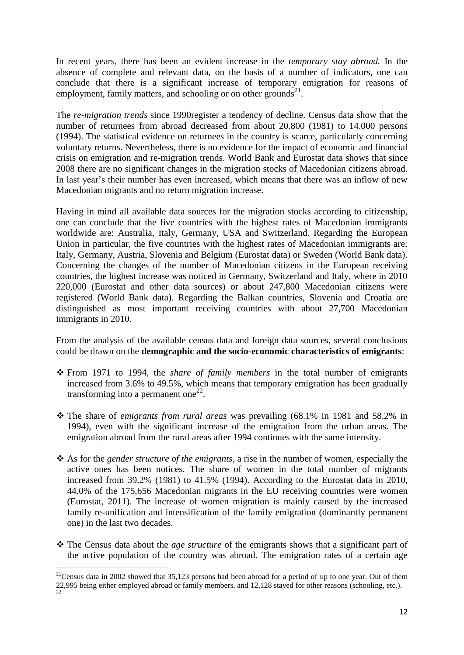In recent years, there has been an evident increase in the *temporary stay abroad.* In the absence of complete and relevant data, on the basis of a number of indicators, one can conclude that there is a significant increase of temporary emigration for reasons of employment, family matters, and schooling or on other grounds<sup>21</sup>.

The *re-migration trends* since 1990register a tendency of decline. Census data show that the number of returnees from abroad decreased from about 20.800 (1981) to 14.000 persons (1994). The statistical evidence on returnees in the country is scarce, particularly concerning voluntary returns. Nevertheless, there is no evidence for the impact of economic and financial crisis on emigration and re-migration trends. World Bank and Eurostat data shows that since 2008 there are no significant changes in the migration stocks of Macedonian citizens abroad. In last year's their number has even increased, which means that there was an inflow of new Macedonian migrants and no return migration increase.

Having in mind all available data sources for the migration stocks according to citizenship, one can conclude that the five countries with the highest rates of Macedonian immigrants worldwide are: Australia, Italy, Germany, USA and Switzerland. Regarding the European Union in particular, the five countries with the highest rates of Macedonian immigrants are: Italy, Germany, Austria, Slovenia and Belgium (Eurostat data) or Sweden (World Bank data). Concerning the changes of the number of Macedonian citizens in the European receiving countries, the highest increase was noticed in Germany, Switzerland and Italy, where in 2010 220,000 (Eurostat and other data sources) or about 247,800 Macedonian citizens were registered (World Bank data). Regarding the Balkan countries, Slovenia and Croatia are distinguished as most important receiving countries with about 27,700 Macedonian immigrants in 2010.

From the analysis of the available census data and foreign data sources, several conclusions could be drawn on the **demographic and the socio-economic characteristics of emigrants**:

- From 1971 to 1994, the *share of family members* in the total number of emigrants increased from 3.6% to 49.5%, which means that temporary emigration has been gradually transforming into a permanent one $^{22}$ .
- The share of *emigrants from rural areas* was prevailing (68.1% in 1981 and 58.2% in 1994), even with the significant increase of the emigration from the urban areas. The emigration abroad from the rural areas after 1994 continues with the same intensity.
- As for the *gender structure of the emigrants*, a rise in the number of women, especially the active ones has been notices. The share of women in the total number of migrants increased from 39.2% (1981) to 41.5% (1994). According to the Eurostat data in 2010, 44.0% of the 175,656 Macedonian migrants in the EU receiving countries were women (Eurostat, 2011). The increase of women migration is mainly caused by the increased family re-unification and intensification of the family emigration (dominantly permanent one) in the last two decades.
- \* The Census data about the *age structure* of the emigrants shows that a significant part of the active population of the country was abroad. The emigration rates of a certain age

1

<sup>&</sup>lt;sup>21</sup>Census data in 2002 showed that 35,123 persons had been abroad for a period of up to one year. Out of them 22,995 being either employed abroad or family members, and  $12,128$  stayed for other reasons (schooling, etc.).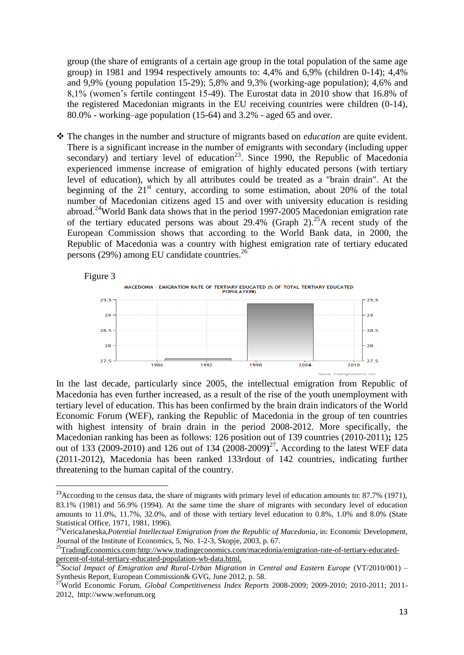group (the share of emigrants of a certain age group in the total population of the same age group) in 1981 and 1994 respectively amounts to: 4,4% and 6,9% (children 0-14); 4,4% and 9,9% (young population 15-29); 5,8% and 9,3% (working-age population); 4,6% and 8,1% (women's fertile contingent 15-49). The Eurostat data in 2010 show that 16.8% of the registered Macedonian migrants in the EU receiving countries were children (0-14), 80.0% - working–age population (15-64) and 3.2% - aged 65 and over.

 The changes in the number and structure of migrants based on *education* are quite evident. There is a significant increase in the number of emigrants with secondary (including upper secondary) and tertiary level of education<sup>23</sup>. Since 1990, the Republic of Macedonia experienced immense increase of emigration of highly educated persons (with tertiary level of education), which by all attributes could be treated as a "brain drain". At the beginning of the  $21<sup>st</sup>$  century, according to some estimation, about 20% of the total number of Macedonian citizens aged 15 and over with university education is residing abroad.<sup>24</sup>World Bank data shows that in the period 1997-2005 Macedonian emigration rate of the tertiary educated persons was about 29.4% (Graph 2). <sup>25</sup>A recent study of the European Commission shows that according to the World Bank data, in 2000, the Republic of Macedonia was a country with highest emigration rate of tertiary educated persons (29%) among EU candidate countries. $26$ 



In the last decade, particularly since 2005, the intellectual emigration from Republic of Macedonia has even further increased, as a result of the rise of the youth unemployment with tertiary level of education. This has been confirmed by the brain drain indicators of the World Economic Forum (WEF), ranking the Republic of Macedonia in the group of ten countries with highest intensity of brain drain in the period 2008-2012. More specifically, the Macedonian ranking has been as follows: 126 position out of 139 countries (2010-2011)**;** 125 out of 133 (2009-2010) and 126 out of 134 (2008-2009**)** 27 **.** According to the latest WEF data (2011-2012), Macedonia has been ranked 133rdout of 142 countries, indicating further threatening to the human capital of the country.

1

<sup>&</sup>lt;sup>23</sup> According to the census data, the share of migrants with primary level of education amounts to: 87.7% (1971), 83.1% (1981) and 56.9% (1994). At the same time the share of migrants with secondary level of education amounts to 11.0%, 11.7%, 32.0%, and of those with tertiary level education to 0.8%, 1.0% and 8.0% (State Statistical Office, 1971, 1981, 1996).

<sup>&</sup>lt;sup>24</sup>VericaJaneska,*Potential Intellectual Emigration from the Republic of Macedonia*, in: Economic Development, Journal of the Institute of Economics, 5, No. 1-2-3, Skopje, 2003, p. 67.

<sup>&</sup>lt;sup>25</sup>[TradingEconomics.com:](http://tradingeconomics.com/)[http://www.tradingeconomics.com/macedonia/emigration-rate-of-tertiary-educated](http://www.tradingeconomics.com/macedonia/emigration-rate-of-tertiary-educated-percent-of-total-tertiary-educated-population-wb-data.html)[percent-of-total-tertiary-educated-population-wb-data.html](http://www.tradingeconomics.com/macedonia/emigration-rate-of-tertiary-educated-percent-of-total-tertiary-educated-population-wb-data.html).

<sup>26</sup>*Social Impact of Emigration and Rural-Urban Migration in Central and Eastern Europe* (VT/2010/001) – Synthesis Report, European Commission& GVG, June 2012, p. 58.

<sup>27</sup>World Economic Forum, *Global Competitiveness Index Reports* 2008-2009; 2009-2010; 2010-2011; 2011- 2012, http://www.weforum.org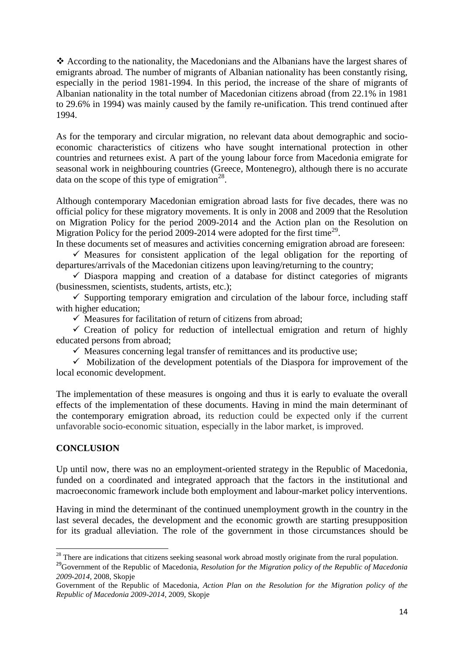According to the nationality, the Macedonians and the Albanians have the largest shares of emigrants abroad. The number of migrants of Albanian nationality has been constantly rising, especially in the period 1981-1994. In this period, the increase of the share of migrants of Albanian nationality in the total number of Macedonian citizens abroad (from 22.1% in 1981 to 29.6% in 1994) was mainly caused by the family re-unification. This trend continued after 1994.

As for the temporary and circular migration, no relevant data about demographic and socioeconomic characteristics of citizens who have sought international protection in other countries and returnees exist. A part of the young labour force from Macedonia emigrate for seasonal work in neighbouring countries (Greece, Montenegro), although there is no accurate data on the scope of this type of emigration $^{28}$ .

Although contemporary Macedonian emigration abroad lasts for five decades, there was no official policy for these migratory movements. It is only in 2008 and 2009 that the Resolution on Migration Policy for the period 2009-2014 and the Action plan on the Resolution on Migration Policy for the period 2009-2014 were adopted for the first time<sup>29</sup>.

In these documents set of measures and activities concerning emigration abroad are foreseen:  $\checkmark$  Measures for consistent application of the legal obligation for the reporting of departures/arrivals of the Macedonian citizens upon leaving/returning to the country;

 $\checkmark$  Diaspora mapping and creation of a database for distinct categories of migrants (businessmen, scientists, students, artists, etc.);

 $\checkmark$  Supporting temporary emigration and circulation of the labour force, including staff with higher education;

 $\checkmark$  Measures for facilitation of return of citizens from abroad;

 $\checkmark$  Creation of policy for reduction of intellectual emigration and return of highly educated persons from abroad;

 $\checkmark$  Measures concerning legal transfer of remittances and its productive use;

 $\checkmark$  Mobilization of the development potentials of the Diaspora for improvement of the local economic development.

The implementation of these measures is ongoing and thus it is early to evaluate the overall effects of the implementation of these documents. Having in mind the main determinant of the contemporary emigration abroad, its reduction could be expected only if the current unfavorable socio-economic situation, especially in the labor market, is improved.

## **CONCLUSION**

**.** 

Up until now, there was no an employment-oriented strategy in the Republic of Macedonia, funded on a coordinated and integrated approach that the factors in the institutional and macroeconomic framework include both employment and labour-market policy interventions.

Having in mind the determinant of the continued unemployment growth in the country in the last several decades, the development and the economic growth are starting presupposition for its gradual alleviation. The role of the government in those circumstances should be

 $^{28}$  There are indications that citizens seeking seasonal work abroad mostly originate from the rural population.

<sup>&</sup>lt;sup>29</sup>Government of the Republic of Macedonia, *Resolution for the Migration policy of the Republic of Macedonia 2009-2014*, 2008, Skopje

Government of the Republic of Macedonia, *Action Plan on the Resolution for the Migration policy of the Republic of Macedonia 2009-2014*, 2009, Skopje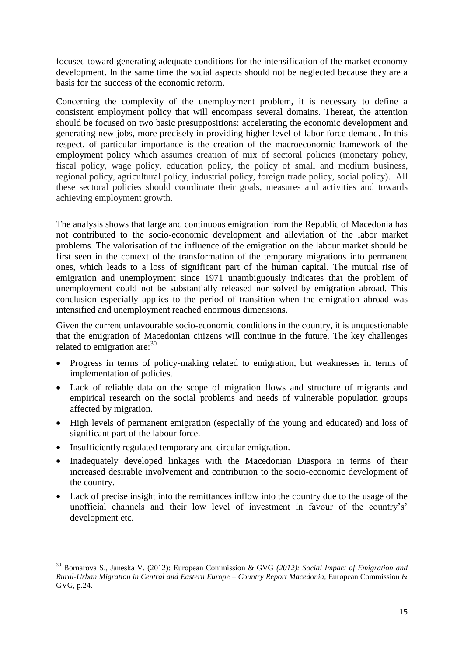focused toward generating adequate conditions for the intensification of the market economy development. In the same time the social aspects should not be neglected because they are a basis for the success of the economic reform.

Concerning the complexity of the unemployment problem, it is necessary to define a consistent employment policy that will encompass several domains. Thereat, the attention should be focused on two basic presuppositions: accelerating the economic development and generating new jobs, more precisely in providing higher level of labor force demand. In this respect, of particular importance is the creation of the macroeconomic framework of the employment policy which assumes creation of mix of sectoral policies (monetary policy, fiscal policy, wage policy, education policy, the policy of small and medium business, regional policy, agricultural policy, industrial policy, foreign trade policy, social policy). All these sectoral policies should coordinate their goals, measures and activities and towards achieving employment growth.

The analysis shows that large and continuous emigration from the Republic of Macedonia has not contributed to the socio-economic development and alleviation of the labor market problems. The valorisation of the influence of the emigration on the labour market should be first seen in the context of the transformation of the temporary migrations into permanent ones, which leads to a loss of significant part of the human capital. The mutual rise of emigration and unemployment since 1971 unambiguously indicates that the problem of unemployment could not be substantially released nor solved by emigration abroad. This conclusion especially applies to the period of transition when the emigration abroad was intensified and unemployment reached enormous dimensions.

Given the current unfavourable socio-economic conditions in the country, it is unquestionable that the emigration of Macedonian citizens will continue in the future. The key challenges related to emigration are:<sup>30</sup>

- Progress in terms of policy-making related to emigration, but weaknesses in terms of implementation of policies.
- Lack of reliable data on the scope of migration flows and structure of migrants and empirical research on the social problems and needs of vulnerable population groups affected by migration.
- High levels of permanent emigration (especially of the young and educated) and loss of significant part of the labour force.
- Insufficiently regulated temporary and circular emigration.

**.** 

- Inadequately developed linkages with the Macedonian Diaspora in terms of their increased desirable involvement and contribution to the socio-economic development of the country.
- Lack of precise insight into the remittances inflow into the country due to the usage of the unofficial channels and their low level of investment in favour of the country's' development etc.

<sup>30</sup> Bornarova S., Janeska V. (2012): European Commission & GVG *(2012): Social Impact of Emigration and Rural-Urban Migration in Central and Eastern Europe – Country Report Macedonia,* European Commission & GVG, p.24.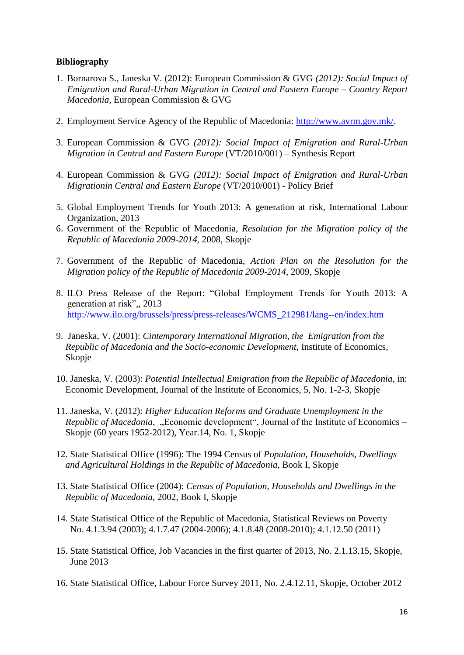### **Bibliography**

- 1. Bornarova S., Janeska V. (2012): European Commission & GVG *(2012): Social Impact of Emigration and Rural-Urban Migration in Central and Eastern Europe – Country Report Macedonia,* European Commission & GVG
- 2. Employment Service Agency of the Republic of Macedonia: [http://www.avrm.gov.mk/.](http://www.avrm.gov.mk/)
- 3. European Commission & GVG *(2012): Social Impact of Emigration and Rural-Urban Migration in Central and Eastern Europe* (VT/2010/001) – Synthesis Report
- 4. European Commission & GVG *(2012): Social Impact of Emigration and Rural-Urban Migrationin Central and Eastern Europe* (VT/2010/001) - Policy Brief
- 5. Global Employment Trends for Youth 2013: A generation at risk, International Labour Organization, 2013
- 6. Government of the Republic of Macedonia, *Resolution for the Migration policy of the Republic of Macedonia 2009-2014*, 2008, Skopje
- 7. Government of the Republic of Macedonia, *Action Plan on the Resolution for the Migration policy of the Republic of Macedonia 2009-2014*, 2009, Skopje
- 8. ILO Press Release of the Report: "Global Employment Trends for Youth 2013: A generation at risk",, 2013 [http://www.ilo.org/brussels/press/press-releases/WCMS\\_212981/lang--en/index.htm](http://www.ilo.org/brussels/press/press-releases/WCMS_212981/lang--en/index.htm)
- 9. Janeska, V. (2001): *Cintemporary International Migration, the Emigration from the Republic of Macedonia and the Socio-economic Development*, Institute of Economics, Skopje
- 10. Janeska, V. (2003): *Potential Intellectual Emigration from the Republic of Macedonia*, in: Economic Development, Journal of the Institute of Economics, 5, No. 1-2-3, Skopje
- 11. Janeska, V. (2012): *Higher Education Reforms and Graduate Unemployment in the Republic of Macedonia*, "Economic development", Journal of the Institute of Economics – Skopje (60 years 1952-2012), Year.14, No. 1, Skopje
- 12. State Statistical Office (1996): The 1994 Census of *Population, Households, Dwellings and Agricultural Holdings in the Republic of Macedonia*, Book I, Skopje
- 13. State Statistical Office (2004): *Census of Population, Households and Dwellings in the Republic of Macedonia*, 2002, Book I, Skopje
- 14. State Statistical Office of the Republic of Macedonia, Statistical Reviews on Poverty No. 4.1.3.94 (2003); 4.1.7.47 (2004-2006); 4.1.8.48 (2008-2010); 4.1.12.50 (2011)
- 15. State Statistical Office, Job Vacancies in the first quarter of 2013, No. 2.1.13.15, Skopje, June 2013
- 16. State Statistical Office, Labour Force Survey 2011, No. 2.4.12.11, Skopje, October 2012